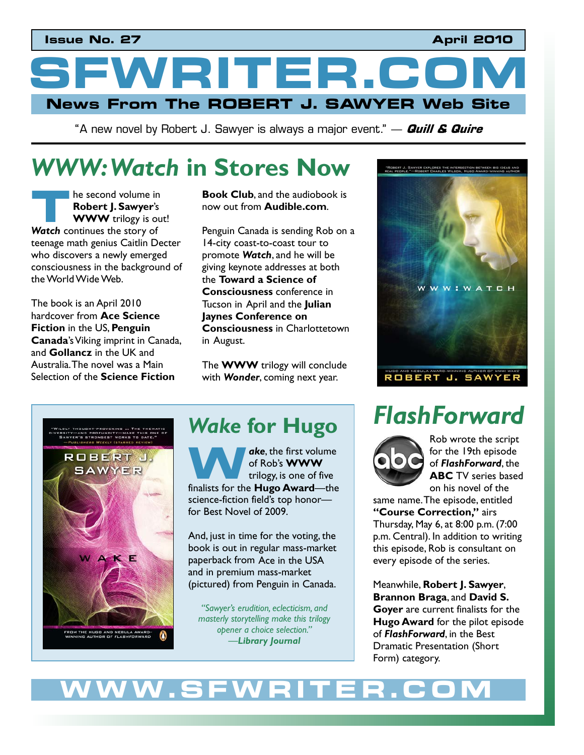## **Issue No. 27** April 2010

WRITER.C **News From The ROBERT J. SAWYER Web Site** 

"A new novel by Robert J. Sawyer is always a major event." — **Quill & Quire**

# **WWW: Watch in Stores Now<br>
<b>Example Second volume in**<br> **Robert J. Sawyer's** now out from Audible.com.

he second volume in **Robert J. Sawyer**'s **WWW** trilogy is out! **Example 3** is second volume in<br> **Robert J. Sawyer's**<br> **The WWW trilogy is of Watch continues the story of** teenage math genius Caitlin Decter who discovers a newly emerged consciousness in the background of the World Wide Web.

The book is an April 2010 hardcover from **Ace Science Fiction** in the US, **Penguin Canada**'s Viking imprint in Canada, and **Gollancz** in the UK and Australia. The novel was a Main Selection of the **Science Fiction** 

**Book Club**, and the audiobook is now out from **Audible.com**.

Penguin Canada is sending Rob on a 14-city coast-to-coast tour to promote *Watch*, and he will be giving keynote addresses at both the **Toward a Science of Consciousness** conference in Tucson in April and the **Julian Jaynes Conference on Consciousness** in Charlottetown in August.

The **WWW** trilogy will conclude with *Wonder*, coming next year.





## *Wake* **for Hugo**

*ake*, the first volume of Rob's **WWW**  trilogy, is one of five **ake**, the first volume<br>
of Rob's **WWW**<br>
trilogy, is one of five<br>
finalists for the **Hugo Award**—the science-fiction field's top honorfor Best Novel of 2009.

And, just in time for the voting, the book is out in regular mass-market paperback from Ace in the USA and in premium mass-market (pictured) from Penguin in Canada.

*"Sawyer's erudition, eclecticism, and masterly storytelling make this trilogy opener a choice selection." –Library Journal*

# *FlashForward*



Rob wrote the script for the 19th episode of *FlashForward*, the **ABC** TV series based on his novel of the

same name. The episode, entitled **"Course Correction,"** airs Thursday, May 6, at 8:00 p.m. (7:00 p.m. Central). In addition to writing this episode, Rob is consultant on every episode of the series.

Meanwhile, **Robert J. Sawyer**, **Brannon Braga**, and **David S. Goyer** are current finalists for the **Hugo Award** for the pilot episode of *FlashForward*, in the Best Dramatic Presentation (Short Form) category.

# WW.SFWR